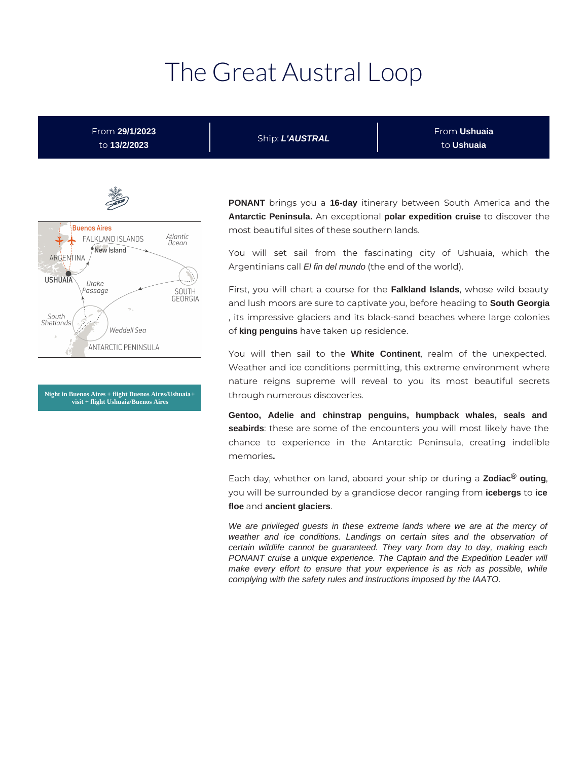# The Great Austral Loop

From **29/1/2023** to **13/2/2023**

Ship: **L'AUSTRAL**

From **Ushuaia** to **Ushuaia**



**Night in Buenos Aires + flight Buenos Aires/Ushuaia + visit + flight Ushuaia/Buenos Aires**

**PONANT** brings you a **16-day** itinerary between South America and the **Antarctic Peninsula.** An exceptional **polar expedition cruise** to discover the most beautiful sites of these southern lands.

You will set sail from the fascinating city of Ushuaia, which the Argentinians call El fin del mundo (the end of the world).

First, you will chart a course for the **Falkland Islands**, whose wild beauty and lush moors are sure to captivate you, before heading to **South Georgia** , its impressive glaciers and its black-sand beaches where large colonies of **king penguins** have taken up residence.

You will then sail to the **White Continent**, realm of the unexpected. Weather and ice conditions permitting, this extreme environment where nature reigns supreme will reveal to you its most beautiful secrets through numerous discoveries.

**Gentoo, Adelie and chinstrap penguins, humpback whales, seals and seabirds**: these are some of the encounters you will most likely have the chance to experience in the Antarctic Peninsula, creating indelible memories**.**

Each day, whether on land, aboard your ship or during a **Zodiac® outing**, you will be surrounded by a grandiose decor ranging from **icebergs** to **ice floe** and **ancient glaciers**.

We are privileged guests in these extreme lands where we are at the mercy of weather and ice conditions. Landings on certain sites and the observation of certain wildlife cannot be guaranteed. They vary from day to day, making each PONANT cruise a unique experience. The Captain and the Expedition Leader will make every effort to ensure that your experience is as rich as possible, while complying with the safety rules and instructions imposed by the IAATO.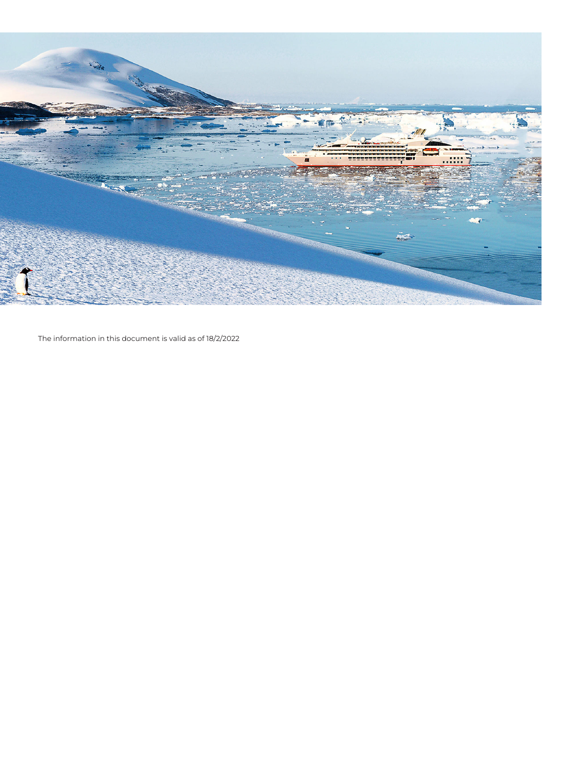

The information in this document is valid as of 18/2/2022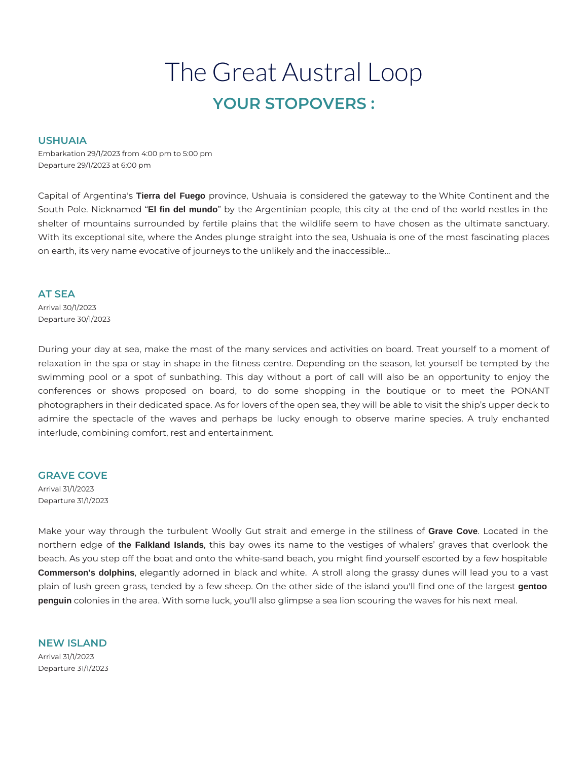# The Great Austral Loop **YOUR STOPOVERS :**

#### **USHUAIA**

Embarkation 29/1/2023 from 4:00 pm to 5:00 pm Departure 29/1/2023 at 6:00 pm

Capital of Argentina's **Tierra del Fuego** province, Ushuaia is considered the gateway to the White Continent and the South Pole. Nicknamed "**El fin del mundo**" by the Argentinian people, this city at the end of the world nestles in the shelter of mountains surrounded by fertile plains that the wildlife seem to have chosen as the ultimate sanctuary. With its exceptional site, where the Andes plunge straight into the sea, Ushuaia is one of the most fascinating places on earth, its very name evocative of journeys to the unlikely and the inaccessible…

#### **AT SEA**

Arrival 30/1/2023 Departure 30/1/2023

During your day at sea, make the most of the many services and activities on board. Treat yourself to a moment of relaxation in the spa or stay in shape in the fitness centre. Depending on the season, let yourself be tempted by the swimming pool or a spot of sunbathing. This day without a port of call will also be an opportunity to enjoy the conferences or shows proposed on board, to do some shopping in the boutique or to meet the PONANT photographers in their dedicated space. As for lovers of the open sea, they will be able to visit the ship's upper deck to admire the spectacle of the waves and perhaps be lucky enough to observe marine species. A truly enchanted interlude, combining comfort, rest and entertainment.

#### **GRAVE COVE**

Arrival 31/1/2023 Departure 31/1/2023

Make your way through the turbulent Woolly Gut strait and emerge in the stillness of **Grave Cove**. Located in the northern edge of **the Falkland Islands**, this bay owes its name to the vestiges of whalers' graves that overlook the beach. As you step off the boat and onto the white-sand beach, you might find yourself escorted by a few hospitable **Commerson's dolphins**, elegantly adorned in black and white. A stroll along the grassy dunes will lead you to a vast plain of lush green grass, tended by a few sheep. On the other side of the island you'll find one of the largest **gentoo penguin** colonies in the area. With some luck, you'll also glimpse a sea lion scouring the waves for his next meal.

**NEW ISLAND**  Arrival 31/1/2023 Departure 31/1/2023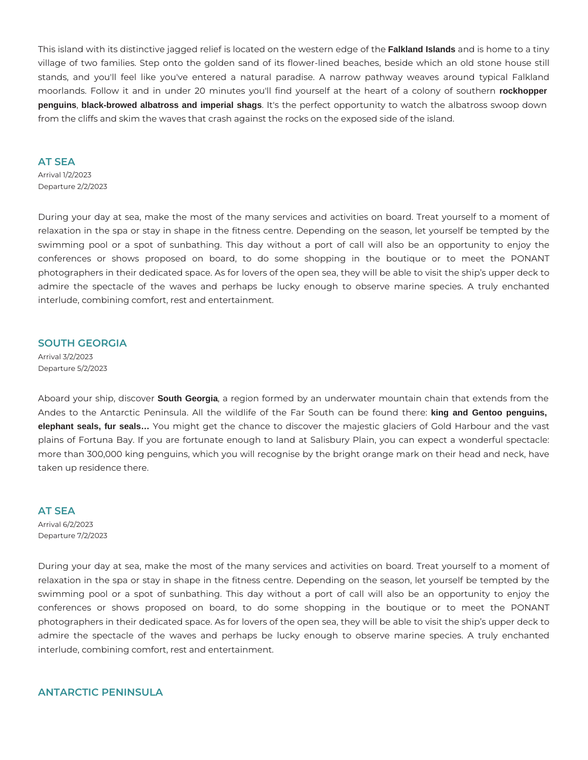This island with its distinctive jagged relief is located on the western edge of the **Falkland Islands** and is home to a tiny village of two families. Step onto the golden sand of its flower-lined beaches, beside which an old stone house still stands, and you'll feel like you've entered a natural paradise. A narrow pathway weaves around typical Falkland moorlands. Follow it and in under 20 minutes you'll find yourself at the heart of a colony of southern **rockhopper penguins**, **black-browed albatross and imperial shags**. It's the perfect opportunity to watch the albatross swoop down from the cliffs and skim the waves that crash against the rocks on the exposed side of the island.

#### **AT SEA**

Arrival 1/2/2023 Departure 2/2/2023

During your day at sea, make the most of the many services and activities on board. Treat yourself to a moment of relaxation in the spa or stay in shape in the fitness centre. Depending on the season, let yourself be tempted by the swimming pool or a spot of sunbathing. This day without a port of call will also be an opportunity to enjoy the conferences or shows proposed on board, to do some shopping in the boutique or to meet the PONANT photographers in their dedicated space. As for lovers of the open sea, they will be able to visit the ship's upper deck to admire the spectacle of the waves and perhaps be lucky enough to observe marine species. A truly enchanted interlude, combining comfort, rest and entertainment.

#### **SOUTH GEORGIA**

Arrival 3/2/2023 Departure 5/2/2023

Aboard your ship, discover **South Georgia**, a region formed by an underwater mountain chain that extends from the Andes to the Antarctic Peninsula. All the wildlife of the Far South can be found there: **king and Gentoo penguins, elephant seals, fur seals…** You might get the chance to discover the majestic glaciers of Gold Harbour and the vast plains of Fortuna Bay. If you are fortunate enough to land at Salisbury Plain, you can expect a wonderful spectacle: more than 300,000 king penguins, which you will recognise by the bright orange mark on their head and neck, have taken up residence there.

#### **AT SEA**

Arrival 6/2/2023 Departure 7/2/2023

During your day at sea, make the most of the many services and activities on board. Treat yourself to a moment of relaxation in the spa or stay in shape in the fitness centre. Depending on the season, let yourself be tempted by the swimming pool or a spot of sunbathing. This day without a port of call will also be an opportunity to enjoy the conferences or shows proposed on board, to do some shopping in the boutique or to meet the PONANT photographers in their dedicated space. As for lovers of the open sea, they will be able to visit the ship's upper deck to admire the spectacle of the waves and perhaps be lucky enough to observe marine species. A truly enchanted interlude, combining comfort, rest and entertainment.

## **ANTARCTIC PENINSULA**